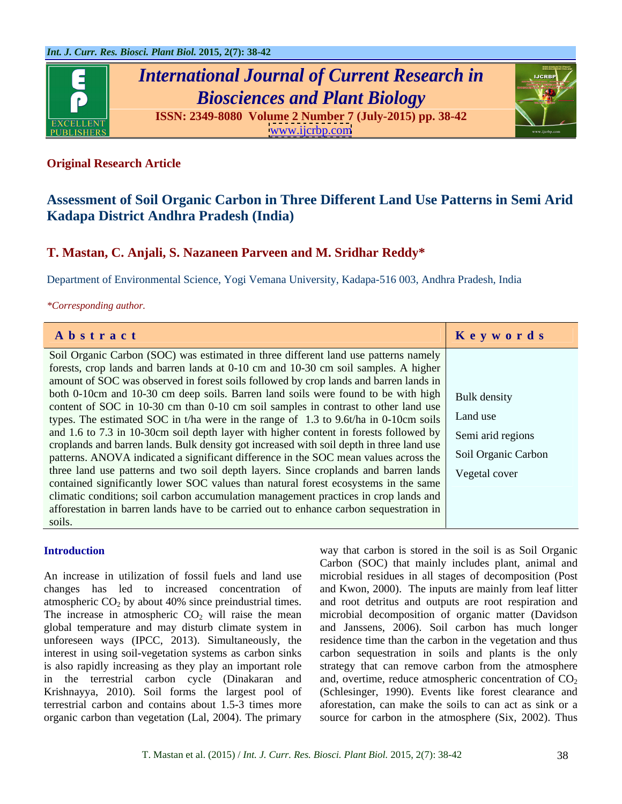

# *International Journal of Current Research in Biosciences and Plant Biology*



**ISSN: 2349-8080 Volume 2 Number 7 (July-2015) pp. 38-42**

[www.ijcrbp.com](http://www.ijcrbp.com)

# **Original Research Article**

# **Assessment of Soil Organic Carbon in Three Different Land Use Patterns in Semi Arid Kadapa District Andhra Pradesh (India)**

# **T. Mastan, C. Anjali, S. Nazaneen Parveen and M. Sridhar Reddy\***

Department of Environmental Science, Yogi Vemana University, Kadapa-516 003, Andhra Pradesh, India

### *\*Corresponding author.*

| Abstract                                                                                                 | <b>Keywords</b> |
|----------------------------------------------------------------------------------------------------------|-----------------|
| Soil Organic Carbon (SOC) was estimated in three different land use patterns namely                      |                 |
| forests, crop lands and barren lands at 0-10 cm and 10-30 cm soil samples. A higher                      |                 |
| amount of SOC was observed in forest soils followed by crop lands and barren lands in                    |                 |
| both 0-10cm and 10-30 cm deep soils. Barren land soils were found to be with high   Bulk density         |                 |
| content of SOC in 10-30 cm than 0-10 cm soil samples in contrast to other land use                       |                 |
| types. The estimated SOC in t/ha were in the range of 1.3 to 9.6t/ha in 0-10cm soils $\vert$ Land use    |                 |
| and 1.6 to 7.3 in 10-30cm soil depth layer with higher content in forests followed by Semi arid regions  |                 |
| croplands and barren lands. Bulk density got increased with soil depth in three land use                 |                 |
| patterns. ANOVA indicated a significant difference in the SOC mean values across the Soil Organic Carbon |                 |
| three land use patterns and two soil depth layers. Since croplands and barren lands   Vegetal cover      |                 |
| contained significantly lower SOC values than natural forest ecosystems in the same                      |                 |
| climatic conditions; soil carbon accumulation management practices in crop lands and                     |                 |
| afforestation in barren lands have to be carried out to enhance carbon sequestration in                  |                 |
| soils.                                                                                                   |                 |

An increase in utilization of fossil fuels and land use microbial residues in all stages of decomposition (Post changes has led to increased concentration of and Kwon, 2000). The inputs are mainly from leaflitter atmospheric  $CO<sub>2</sub>$  by about 40% since preindustrial times. and root detritus and outputs are root respiration and The increase in atmospheric  $CO_2$  will raise the mean microbial decomposition of organic matter (Davidson global temperature and may disturb climate system in unforeseen ways (IPCC, 2013). Simultaneously, the interest in using soil-vegetation systems as carbon sinks is also rapidly increasing as they play an important role strategy that can remove carbon from the atmosphere in the terrestrial carbon cycle (Dinakaran and and, overtime, reduce atmospheric concentration of  $CO_2$ Krishnayya, 2010). Soil forms the largest pool of (Schlesinger, 1990). Events like forest clearance and terrestrial carbon and contains about 1.5-3 times more aforestation, can make the soils to can act as sink or a

**Introduction** way that carbon is stored in the soil is as Soil Organic organic carbon than vegetation (Lal, 2004). The primary source for carbon in the atmosphere (Six, 2002). Thus Carbon (SOC) that mainly includes plant, animal and and Janssens, 2006). Soil carbon has much longer residence time than the carbon in the vegetation and thus carbon sequestration in soils and plants is the only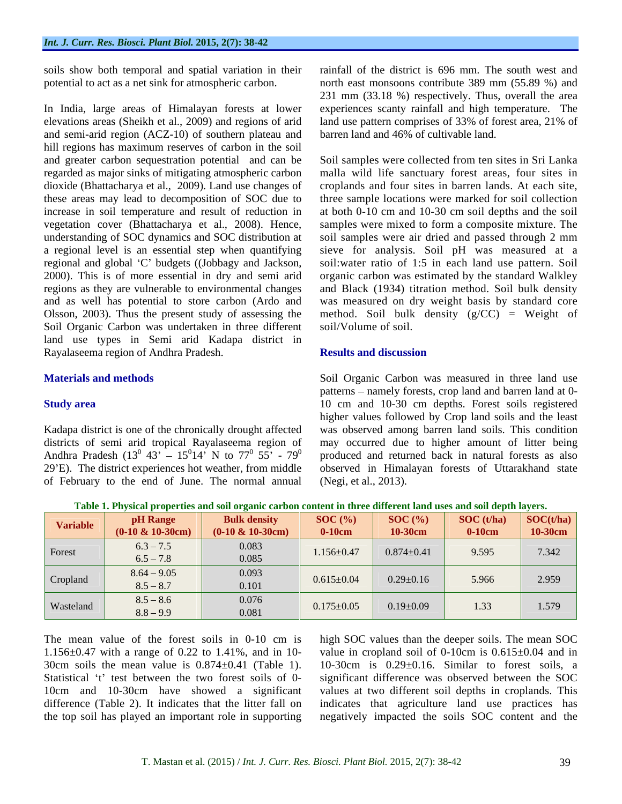soils show both temporal and spatial variation in their

In India, large areas of Himalayan forests at lower experiences scanty rainfall and high temperature. The elevations areas (Sheikh et al., 2009) and regions of arid and semi-arid region (ACZ-10) of southern plateau and hill regions has maximum reserves of carbon in the soil and greater carbon sequestration potential and can be dioxide (Bhattacharya et al., 2009). Land use changes of regional and global 'C' budgets ((Jobbagy and Jackson, 2000). This is of more essential in dry and semi arid and as well has potential to store carbon (Ardo and Soil Organic Carbon was undertaken in three different soil/Volume of soil. land use types in Semi arid Kadapa district in Rayalaseema region of Andhra Pradesh.

of February to the end of June. The normal annual

potential to act as a net sink for atmospheric carbon. north east monsoons contribute 389 mm (55.89 %) and rainfall of the district is 696 mm. The south west and 231 mm (33.18 %) respectively. Thus, overall the area land use pattern comprises of 33% of forest area, 21% of barren land and 46% of cultivable land.

regarded as major sinks of mitigating atmospheric carbon malla wild life sanctuary forest areas, four sites in these areas may lead to decomposition of SOC due to three sample locations were marked for soil collection increase in soil temperature and result of reduction in at both 0-10 cm and 10-30 cm soil depths and the soil vegetation cover (Bhattacharya et al., 2008). Hence, samples were mixed to form a composite mixture. The understanding of SOC dynamics and SOC distribution at soil samples were air dried and passed through 2 mm a regional level is an essential step when quantifying sieve for analysis. Soil pH was measured at a 2000). This is of more essential in dry and semi arid organic carbon was estimated by the standard Walkley regions as they are vulnerable to environmental changes and Black (1934) titration method. Soil bulk density Olsson, 2003). Thus the present study of assessing the method. Soil bulk density (g/CC) = Weight of Soil samples were collected from ten sites in Sri Lanka croplands and four sites in barren lands. At each site, soil:water ratio of 1:5 in each land use pattern. Soil was measured on dry weight basis by standard core soil/Volume of soil.

## **Results and discussion**

**Materials and methods** Soil Organic Carbon was measured in three land use **Study area 10** cm and 10-30 cm depths. Forest soils registered Kadapa district is one of the chronically drought affected was observed among barren land soils. This condition districts of semi arid tropical Rayalaseema region of may occurred due to higher amount of litter being Andhra Pradesh (13<sup>0</sup> 43' – 15<sup>0</sup>14' N to 77<sup>0</sup> 55' - 79<sup>0</sup> produced and returned back in natural forests as also 29 E). The district experiences hot weather, from middle observed in Himalayan forests of Uttarakhand state patterns – namely forests, crop land and barren land at 0higher values followed by Crop land soils and the least (Negi, et al., 2013).

**Table 1. Physical properties and soil organic carbon content in three different land uses and soil depth layers.**

|           |                      | <b>Bulk density</b>  | SOC(%)           | SOC(%)           | $\left  \right $ SOC (t/ha) $\left  \right $ SOC(t/ha) |                 |
|-----------|----------------------|----------------------|------------------|------------------|--------------------------------------------------------|-----------------|
| Variable  | $(0-10 \& 10-30$ cm) | $(0-10 \& 10-30$ cm) | $0-10$ cm        | 10-30cm          | $0-10cm$                                               | $\vert$ 10-30cm |
| Forest    | $6.3 - 7.5$          | 0.083                |                  | $0.874 \pm 0.41$ | 9.595                                                  | 7.342           |
|           | $6.5 - 7.8$          | 0.085                | $1.156 \pm 0.47$ |                  |                                                        |                 |
|           | $8.64 - 9.05$        | 0.093                |                  |                  |                                                        |                 |
| Cropland  | $8.5 - 8.7$          | 0.101                | $0.615 \pm 0.04$ | $0.29 \pm 0.16$  | 5.966                                                  | 2.959           |
|           | $8.5 - 8.6$          | 0.076                |                  |                  |                                                        |                 |
| Wasteland | $8.8 - 9.9$          | 0.081                | $0.175 \pm 0.05$ | $0.19 \pm 0.09$  | 1.33                                                   | 1.579           |

30cm soils the mean value is  $0.874 \pm 0.41$  (Table 1).

The mean value of the forest soils in 0-10 cm is high SOC values than the deeper soils. The mean SOC 1.156 $\pm$ 0.47 with a range of 0.22 to 1.41%, and in 10- value in cropland soil of 0-10cm is 0.615 $\pm$ 0.04 and in Statistical 't' test between the two forest soils of 0- significant difference was observed between the SOC 10cm and 10-30cm have showed a significant values at two different soil depths in croplands. This difference (Table 2). It indicates that the litter fall on indicates that agriculture land use practices has the top soil has played an important role in supporting negatively impacted the soils SOC content and the10-30cm is  $0.29\pm0.16$ . Similar to forest soils, a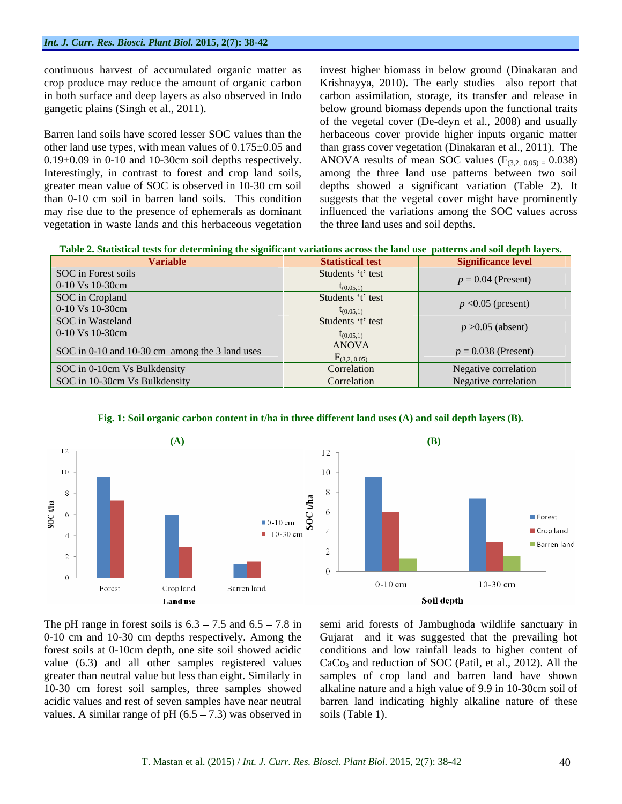in both surface and deep layers as also observed in Indo

vegetation in waste lands and this herbaceous vegetation

continuous harvest of accumulated organic matter as invest higher biomass in below ground (Dinakaran and crop produce may reduce the amount of organic carbon Krishnayya, 2010). The early studies also report that gangetic plains (Singh et al., 2011). below ground biomass depends upon the functional traits<br>of the vegetal cover (De-deyn et al., 2008) and usually<br>Barren land soils have scored lesser SOC values than the herbaceous cove other land use types, with mean values of 0.175±0.05 and than grass cover vegetation (Dinakaran et al., 2011). The  $0.19\pm0.09$  in 0-10 and 10-30cm soil depths respectively. ANOVA results of mean SOC values ( $F_{(3,2, 0.05)} = 0.038$ ) Interestingly, in contrast to forest and crop land soils, among the three land use patterns between two soil greater mean value of SOC is observed in 10-30 cm soil depths showed a significant variation (Table 2). It than 0-10 cm soil in barren land soils. This condition suggests that the vegetal cover might have prominently may rise due to the presence of ephemerals as dominant influenced the variations among the SOC values across carbon assimilation, storage, its transfer and release in below ground biomass depends upon the functional traits of the vegetal cover (De-deyn et al., 2008) and usually herbaceous cover provide higher inputs organic matter the three land uses and soil depths.

| Variable                                       | <b>Statistical test</b>              | <b>Significance level</b> |
|------------------------------------------------|--------------------------------------|---------------------------|
| SOC in Forest soils                            | Students 't' test                    |                           |
| $0-10 \text{ Vs } 10-30 \text{cm}$             |                                      | $p = 0.04$ (Present)      |
| SOC in Cropland                                | Students 't' test                    |                           |
| $0-10 \text{ Vs } 10-30 \text{cm}$             |                                      | $p < 0.05$ (present)      |
| SOC in Wasteland                               | Students 't' test                    | $p > 0.05$ (absent)       |
| $0-10 \text{ Vs } 10-30 \text{cm}$             | $\tan 051$                           |                           |
| SOC in 0-10 and 10-30 cm among the 3 land uses | <b>ANOVA</b><br>$\Gamma$ (3,2, 0.05) | $p = 0.038$ (Present)     |
| SOC in 0-10cm Vs Bulkdensity                   | Correlation                          | Negative correlation      |
| SOC in 10-30cm Vs Bulkdensity                  | Correlation                          | Negative correlation      |



**Fig. 1: Soil organic carbon content in t/ha in three different land uses (A) and soil depth layers (B).**

greater than neutral value but less than eight. Similarly in values. A similar range of pH  $(6.5 - 7.3)$  was observed in

The pH range in forest soils is  $6.3 - 7.5$  and  $6.5 - 7.8$  in semi arid forests of Jambughoda wildlife sanctuary in 0-10 cm and 10-30 cm depths respectively. Among the Gujarat and it was suggested that the prevailing hot forest soils at 0-10cm depth, one site soil showed acidic conditions and low rainfall leads to higher content of value  $(6.3)$  and all other samples registered values  $CaCo<sub>3</sub>$  and reduction of SOC (Patil, et al., 2012). All the 10-30 cm forest soil samples, three samples showed alkaline nature and a high value of 9.9 in 10-30cm soil of acidic values and rest of seven samples have near neutral barren land indicating highly alkaline nature of these samples of crop land and barren land have shown soils (Table 1).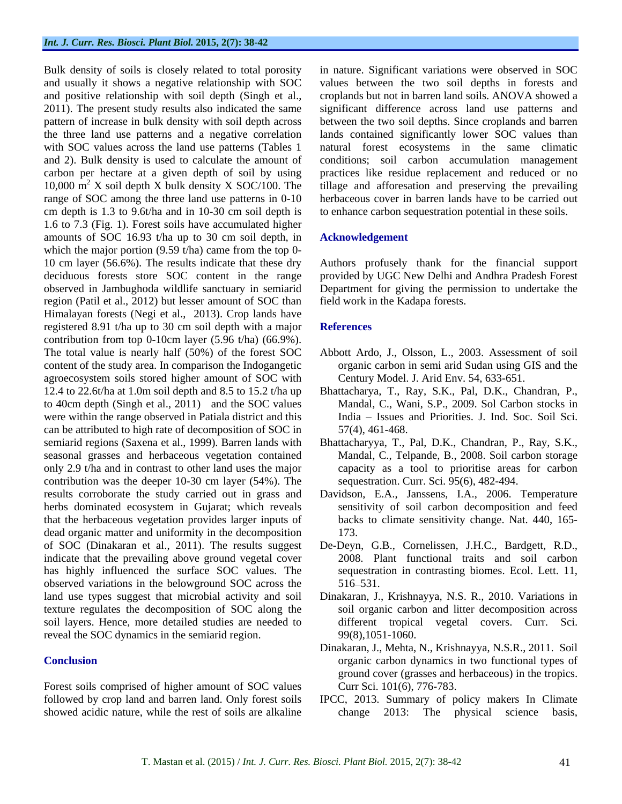Bulk density of soils is closely related to total porosity in nature. Significant variations were observed in SOC and usually it shows a negative relationship with SOC values between the two soil depths in forests and and positive relationship with soil depth (Singh et al., croplands but not in barren land soils. ANOVA showed a 2011). The present study results also indicated the same significant difference across land use patterns and pattern of increase in bulk density with soil depth across between the two soil depths. Since croplands and barren the three land use patterns and a negative correlation with SOC values across the land use patterns (Tables 1 matural forest ecosystems in the same climatic and 2). Bulk density is used to calculate the amount of conditions; soil carbon accumulation management carbon per hectare at a given depth of soil by using practices like residue replacement and reduced or no 10,000 m <sup>2</sup> X soil depth X bulk density X SOC/100. The tillage and afforesation and preserving the prevailing range of SOC among the three land use patterns in 0-10 cm depth is 1.3 to 9.6t/ha and in 10-30 cm soil depth is 1.6 to 7.3 (Fig. 1). Forest soils have accumulated higher amounts of SOC 16.93 t/ha up to 30 cm soil depth, in Acknowledgement which the major portion (9.59 t/ha) came from the top 0-10 cm layer (56.6%). The results indicate that these dry Authors profusely thank for the financial support deciduous forests store SOC content in the range provided by UGC New Delhi and Andhra Pradesh Forest observed in Jambughoda wildlife sanctuary in semiarid Department for giving the permission to undertake the region (Patil et al., 2012) but lesser amount of SOC than Himalayan forests (Negi et al., 2013). Crop lands have registered 8.91 t/ha up to 30 cm soil depth with a major References contribution from top 0-10cm layer (5.96 t/ha) (66.9%). The total value is nearly half (50%) of the forest SOC Abbott Ardo, J., Olsson, L., 2003. Assessment of soil content of the study area. In comparison the Indogangetic agroecosystem soils stored higher amount of SOC with 12.4 to 22.6t/ha at 1.0m soil depth and 8.5 to 15.2 t/ha up Bhattacharya, T., Ray, S.K., Pal, D.K., Chandran, P., to 40cm depth (Singh et al., 2011) and the SOC values were within the range observed in Patiala district and this can be attributed to high rate of decomposition of SOC in semiarid regions (Saxena et al., 1999). Barren lands with Bhattacharyya, T., Pal, D.K., Chandran, P., Ray, S.K., seasonal grasses and herbaceous vegetation contained only 2.9 t/ha and in contrast to other land uses the major contribution was the deeper 10-30 cm layer (54%). The results corroborate the study carried out in grass and Davidson, E.A., Janssens, I.A., 2006. Temperature herbs dominated ecosystem in Gujarat; which reveals that the herbaceous vegetation provides larger inputs of dead organic matter and uniformity in the decomposition 173. of SOC (Dinakaran et al., 2011). The results suggest De-Deyn, G.B., Cornelissen, J.H.C., Bardgett, R.D., indicate that the prevailing above ground vegetal cover has highly influenced the surface SOC values. The sequestration in contrasting biomes. Ecol. Lett. 11, observed variations in the belowground SOC across the land use types suggest that microbial activity and soil Dinakaran, J., Krishnayya, N.S. R.,2010. Variations in texture regulates the decomposition of SOC along the soil layers. Hence, more detailed studies are needed to different tropical vegetal covers. Curr. Sci. reveal the SOC dynamics in the semiarid region.

Forest soils comprised of higher amount of SOC values followed by crop land and barren land. Only forest soils IPCC, 2013. Summary of policy makers In Climate showed acidic nature, while the rest of soils are alkaline change 2013: The physical science basis,

lands contained significantly lower SOC values than herbaceous cover in barren lands have to be carried out to enhance carbon sequestration potential in these soils.

## **Acknowledgement**

field work in the Kadapa forests.

# **References**

- organic carbon in semi arid Sudan using GIS and the Century Model. J. Arid Env. 54, 633-651.
- Mandal, C., Wani, S.P., 2009. Sol Carbon stocks in India - Issues and Priorities. J. Ind. Soc. Soil Sci. 57(4), 461-468.
- Mandal, C., Telpande, B., 2008. Soil carbon storage capacity as a tool to prioritise areas for carbon sequestration. Curr. Sci. 95(6), 482-494.
- sensitivity of soil carbon decomposition and feed backs to climate sensitivity change. Nat. 440, 165- 173.
- 2008. Plant functional traits and soil carbon sequestration in contrasting biomes. Ecol. Lett. 11, 516–531.
- soil organic carbon and litter decomposition across 99(8),1051-1060.
- **Conclusion Conclusion Conclusion Conclusion Conclusion Conclusion Conclusion Conclusion Conclusion Conclusion Conclusion Conclusion Conclusion Conclusion Conclusion Conclusion Conclusion** Dinakaran, J., Mehta, N., Krishnayya, N.S.R., 2011. Soil ground cover (grasses and herbaceous) in the tropics. Curr Sci. 101(6), 776-783.
	- $2013$ : The physical science